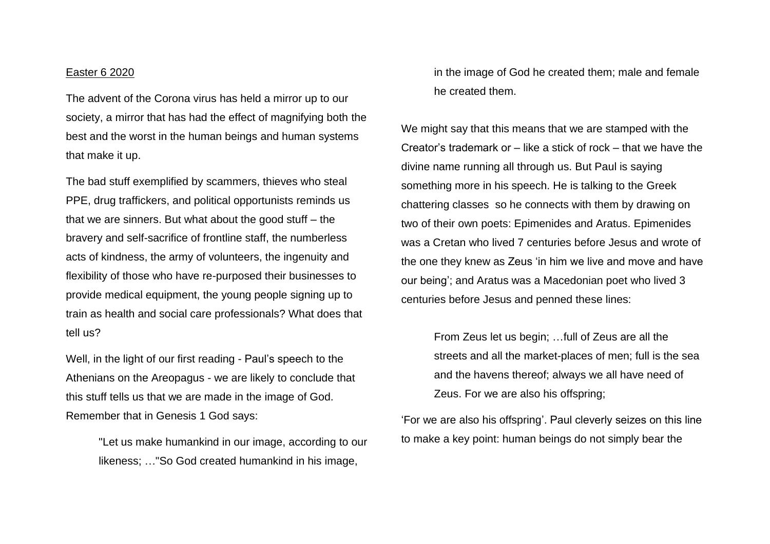## Easter 6 2020

The advent of the Corona virus has held a mirror up to our society, a mirror that has had the effect of magnifying both the best and the worst in the human beings and human systems that make it up.

The bad stuff exemplified by scammers, thieves who steal PPE, drug traffickers, and political opportunists reminds us that we are sinners. But what about the good stuff – the bravery and self-sacrifice of frontline staff, the numberless acts of kindness, the army of volunteers, the ingenuity and flexibility of those who have re-purposed their businesses to provide medical equipment, the young people signing up to train as health and social care professionals? What does that tell us?

Well, in the light of our first reading - Paul's speech to the Athenians on the Areopagus - we are likely to conclude that this stuff tells us that we are made in the image of God. Remember that in Genesis 1 God says:

> "Let us make humankind in our image, according to our likeness; …"So God created humankind in his image,

in the image of God he created them; male and female he created them.

We might say that this means that we are stamped with the Creator's trademark or – like a stick of rock – that we have the divine name running all through us. But Paul is saying something more in his speech. He is talking to the Greek chattering classes so he connects with them by drawing on two of their own poets: Epimenides and Aratus. Epimenides was a Cretan who lived 7 centuries before Jesus and wrote of the one they knew as Zeus 'in him we live and move and have our being'; and Aratus was a Macedonian poet who lived 3 centuries before Jesus and penned these lines:

> From Zeus let us begin; …full of Zeus are all the streets and all the market-places of men; full is the sea and the havens thereof; always we all have need of Zeus. For we are also his offspring;

'For we are also his offspring'. Paul cleverly seizes on this line to make a key point: human beings do not simply bear the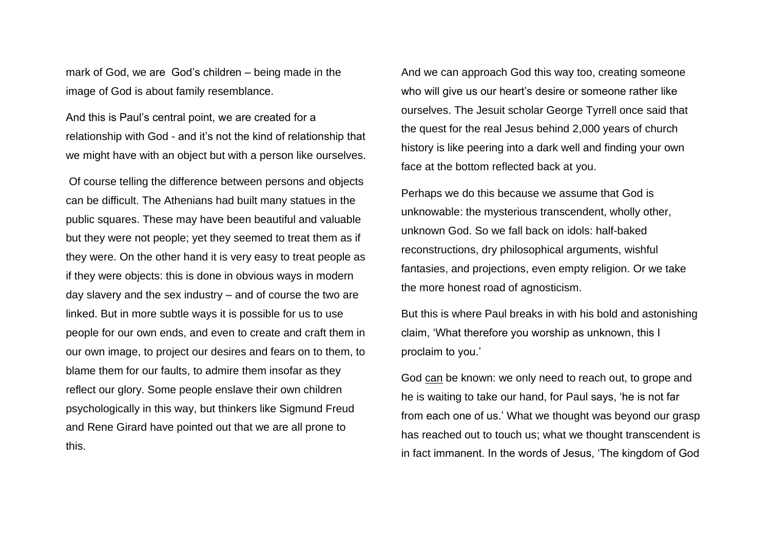mark of God, we are God's children – being made in the image of God is about family resemblance.

And this is Paul's central point, we are created for a relationship with God - and it's not the kind of relationship that we might have with an object but with a person like ourselves.

Of course telling the difference between persons and objects can be difficult. The Athenians had built many statues in the public squares. These may have been beautiful and valuable but they were not people; yet they seemed to treat them as if they were. On the other hand it is very easy to treat people as if they were objects: this is done in obvious ways in modern day slavery and the sex industry – and of course the two are linked. But in more subtle ways it is possible for us to use people for our own ends, and even to create and craft them in our own image, to project our desires and fears on to them, to blame them for our faults, to admire them insofar as they reflect our glory. Some people enslave their own children psychologically in this way, but thinkers like Sigmund Freud and Rene Girard have pointed out that we are all prone to this.

And we can approach God this way too, creating someone who will give us our heart's desire or someone rather like ourselves. The Jesuit scholar George Tyrrell once said that the quest for the real Jesus behind 2,000 years of church history is like peering into a dark well and finding your own face at the bottom reflected back at you.

Perhaps we do this because we assume that God is unknowable: the mysterious transcendent, wholly other, unknown God. So we fall back on idols: half-baked reconstructions, dry philosophical arguments, wishful fantasies, and projections, even empty religion. Or we take the more honest road of agnosticism.

But this is where Paul breaks in with his bold and astonishing claim, 'What therefore you worship as unknown, this I proclaim to you.'

God can be known: we only need to reach out, to grope and he is waiting to take our hand, for Paul says, 'he is not far from each one of us.' What we thought was beyond our grasp has reached out to touch us; what we thought transcendent is in fact immanent. In the words of Jesus, 'The kingdom of God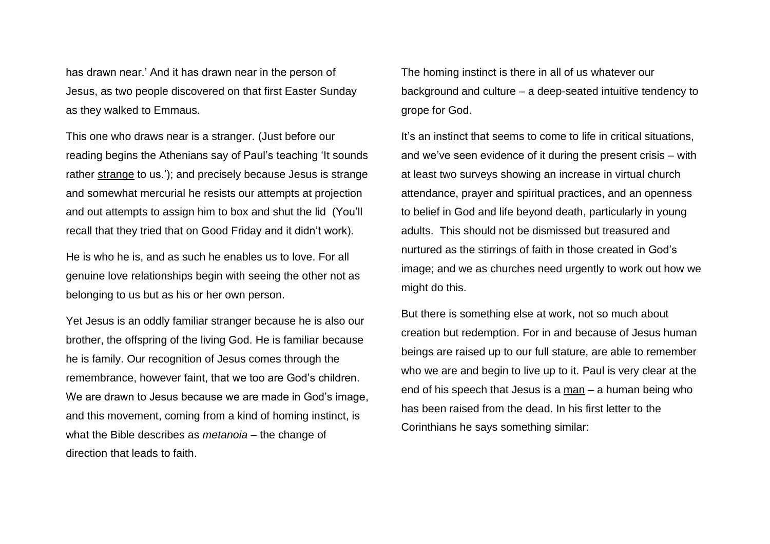has drawn near.' And it has drawn near in the person of Jesus, as two people discovered on that first Easter Sunday as they walked to Emmaus.

This one who draws near is a stranger. (Just before our reading begins the Athenians say of Paul's teaching 'It sounds rather strange to us.'); and precisely because Jesus is strange and somewhat mercurial he resists our attempts at projection and out attempts to assign him to box and shut the lid (You'll recall that they tried that on Good Friday and it didn't work).

He is who he is, and as such he enables us to love. For all genuine love relationships begin with seeing the other not as belonging to us but as his or her own person.

Yet Jesus is an oddly familiar stranger because he is also our brother, the offspring of the living God. He is familiar because he is family. Our recognition of Jesus comes through the remembrance, however faint, that we too are God's children. We are drawn to Jesus because we are made in God's image, and this movement, coming from a kind of homing instinct, is what the Bible describes as *metanoia* – the change of direction that leads to faith.

The homing instinct is there in all of us whatever our background and culture – a deep-seated intuitive tendency to grope for God.

It's an instinct that seems to come to life in critical situations, and we've seen evidence of it during the present crisis – with at least two surveys showing an increase in virtual church attendance, prayer and spiritual practices, and an openness to belief in God and life beyond death, particularly in young adults. This should not be dismissed but treasured and nurtured as the stirrings of faith in those created in God's image; and we as churches need urgently to work out how we might do this.

But there is something else at work, not so much about creation but redemption. For in and because of Jesus human beings are raised up to our full stature, are able to remember who we are and begin to live up to it. Paul is very clear at the end of his speech that Jesus is a man – a human being who has been raised from the dead. In his first letter to the Corinthians he says something similar: